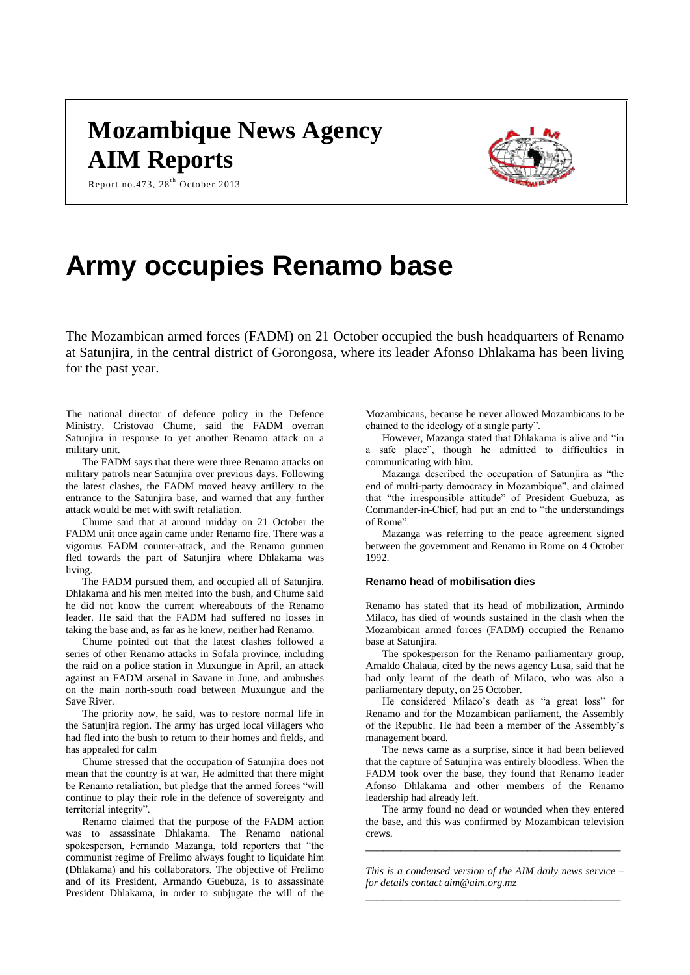# **Mozambique News Agency AIM Reports**



Report no.473, 28 $^{\text{th}}$  October 2013

# **Army occupies Renamo base**

The Mozambican armed forces (FADM) on 21 October occupied the bush headquarters of Renamo at Satunjira, in the central district of Gorongosa, where its leader Afonso Dhlakama has been living for the past year.

The national director of defence policy in the Defence Ministry, Cristovao Chume, said the FADM overran Satunjira in response to yet another Renamo attack on a military unit.

The FADM says that there were three Renamo attacks on military patrols near Satunjira over previous days. Following the latest clashes, the FADM moved heavy artillery to the entrance to the Satunjira base, and warned that any further attack would be met with swift retaliation.

Chume said that at around midday on 21 October the FADM unit once again came under Renamo fire. There was a vigorous FADM counter-attack, and the Renamo gunmen fled towards the part of Satunjira where Dhlakama was living.

The FADM pursued them, and occupied all of Satunjira. Dhlakama and his men melted into the bush, and Chume said he did not know the current whereabouts of the Renamo leader. He said that the FADM had suffered no losses in taking the base and, as far as he knew, neither had Renamo.

Chume pointed out that the latest clashes followed a series of other Renamo attacks in Sofala province, including the raid on a police station in Muxungue in April, an attack against an FADM arsenal in Savane in June, and ambushes on the main north-south road between Muxungue and the Save River.

The priority now, he said, was to restore normal life in the Satunjira region. The army has urged local villagers who had fled into the bush to return to their homes and fields, and has appealed for calm

Chume stressed that the occupation of Satunjira does not mean that the country is at war, He admitted that there might be Renamo retaliation, but pledge that the armed forces "will continue to play their role in the defence of sovereignty and territorial integrity".

Renamo claimed that the purpose of the FADM action was to assassinate Dhlakama. The Renamo national spokesperson, Fernando Mazanga, told reporters that "the communist regime of Frelimo always fought to liquidate him (Dhlakama) and his collaborators. The objective of Frelimo and of its President, Armando Guebuza, is to assassinate President Dhlakama, in order to subjugate the will of the

Mozambicans, because he never allowed Mozambicans to be chained to the ideology of a single party".

However, Mazanga stated that Dhlakama is alive and "in a safe place", though he admitted to difficulties in communicating with him.

Mazanga described the occupation of Satunjira as "the end of multi-party democracy in Mozambique", and claimed that "the irresponsible attitude" of President Guebuza, as Commander-in-Chief, had put an end to "the understandings of Rome".

Mazanga was referring to the peace agreement signed between the government and Renamo in Rome on 4 October 1992.

## **Renamo head of mobilisation dies**

Renamo has stated that its head of mobilization, Armindo Milaco, has died of wounds sustained in the clash when the Mozambican armed forces (FADM) occupied the Renamo base at Satunjira.

The spokesperson for the Renamo parliamentary group, Arnaldo Chalaua, cited by the news agency Lusa, said that he had only learnt of the death of Milaco, who was also a parliamentary deputy, on 25 October.

He considered Milaco's death as "a great loss" for Renamo and for the Mozambican parliament, the Assembly of the Republic. He had been a member of the Assembly's management board.

The news came as a surprise, since it had been believed that the capture of Satunjira was entirely bloodless. When the FADM took over the base, they found that Renamo leader Afonso Dhlakama and other members of the Renamo leadership had already left.

The army found no dead or wounded when they entered the base, and this was confirmed by Mozambican television crews.

*This is a condensed version of the AIM daily news service – for details contac[t aim@aim.org.mz](mailto:aim@aim.org.mz) \_\_\_\_\_\_\_\_\_\_\_\_\_\_\_\_\_\_\_\_\_\_\_\_\_\_\_\_\_\_\_\_\_\_\_\_\_\_\_\_\_\_\_\_*

*\_\_\_\_\_\_\_\_\_\_\_\_\_\_\_\_\_\_\_\_\_\_\_\_\_\_\_\_\_\_\_\_\_\_\_\_\_\_\_\_\_\_\_\_*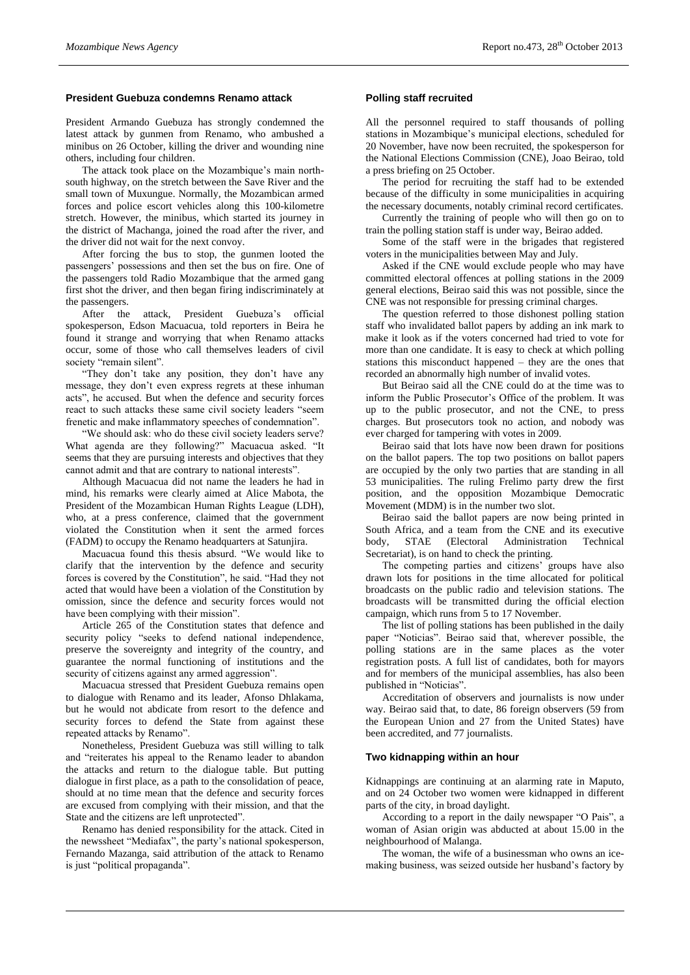# **President Guebuza condemns Renamo attack**

President Armando Guebuza has strongly condemned the latest attack by gunmen from Renamo, who ambushed a minibus on 26 October, killing the driver and wounding nine others, including four children.

The attack took place on the Mozambique's main northsouth highway, on the stretch between the Save River and the small town of Muxungue. Normally, the Mozambican armed forces and police escort vehicles along this 100-kilometre stretch. However, the minibus, which started its journey in the district of Machanga, joined the road after the river, and the driver did not wait for the next convoy.

After forcing the bus to stop, the gunmen looted the passengers' possessions and then set the bus on fire. One of the passengers told Radio Mozambique that the armed gang first shot the driver, and then began firing indiscriminately at the passengers.

After the attack, President Guebuza's official spokesperson, Edson Macuacua, told reporters in Beira he found it strange and worrying that when Renamo attacks occur, some of those who call themselves leaders of civil society "remain silent".

"They don't take any position, they don't have any message, they don't even express regrets at these inhuman acts", he accused. But when the defence and security forces react to such attacks these same civil society leaders "seem frenetic and make inflammatory speeches of condemnation".

"We should ask: who do these civil society leaders serve? What agenda are they following?" Macuacua asked. "It seems that they are pursuing interests and objectives that they cannot admit and that are contrary to national interests".

Although Macuacua did not name the leaders he had in mind, his remarks were clearly aimed at Alice Mabota, the President of the Mozambican Human Rights League (LDH), who, at a press conference, claimed that the government violated the Constitution when it sent the armed forces (FADM) to occupy the Renamo headquarters at Satunjira.

Macuacua found this thesis absurd. "We would like to clarify that the intervention by the defence and security forces is covered by the Constitution", he said. "Had they not acted that would have been a violation of the Constitution by omission, since the defence and security forces would not have been complying with their mission".

Article 265 of the Constitution states that defence and security policy "seeks to defend national independence, preserve the sovereignty and integrity of the country, and guarantee the normal functioning of institutions and the security of citizens against any armed aggression".

Macuacua stressed that President Guebuza remains open to dialogue with Renamo and its leader, Afonso Dhlakama, but he would not abdicate from resort to the defence and security forces to defend the State from against these repeated attacks by Renamo".

Nonetheless, President Guebuza was still willing to talk and "reiterates his appeal to the Renamo leader to abandon the attacks and return to the dialogue table. But putting dialogue in first place, as a path to the consolidation of peace, should at no time mean that the defence and security forces are excused from complying with their mission, and that the State and the citizens are left unprotected".

Renamo has denied responsibility for the attack. Cited in the newssheet "Mediafax", the party's national spokesperson, Fernando Mazanga, said attribution of the attack to Renamo is just "political propaganda".

# **Polling staff recruited**

All the personnel required to staff thousands of polling stations in Mozambique's municipal elections, scheduled for 20 November, have now been recruited, the spokesperson for the National Elections Commission (CNE), Joao Beirao, told a press briefing on 25 October.

The period for recruiting the staff had to be extended because of the difficulty in some municipalities in acquiring the necessary documents, notably criminal record certificates.

Currently the training of people who will then go on to train the polling station staff is under way, Beirao added.

Some of the staff were in the brigades that registered voters in the municipalities between May and July.

Asked if the CNE would exclude people who may have committed electoral offences at polling stations in the 2009 general elections, Beirao said this was not possible, since the CNE was not responsible for pressing criminal charges.

The question referred to those dishonest polling station staff who invalidated ballot papers by adding an ink mark to make it look as if the voters concerned had tried to vote for more than one candidate. It is easy to check at which polling stations this misconduct happened – they are the ones that recorded an abnormally high number of invalid votes.

But Beirao said all the CNE could do at the time was to inform the Public Prosecutor's Office of the problem. It was up to the public prosecutor, and not the CNE, to press charges. But prosecutors took no action, and nobody was ever charged for tampering with votes in 2009.

Beirao said that lots have now been drawn for positions on the ballot papers. The top two positions on ballot papers are occupied by the only two parties that are standing in all 53 municipalities. The ruling Frelimo party drew the first position, and the opposition Mozambique Democratic Movement (MDM) is in the number two slot.

Beirao said the ballot papers are now being printed in South Africa, and a team from the CNE and its executive body, STAE (Electoral Administration Technical Secretariat), is on hand to check the printing.

The competing parties and citizens' groups have also drawn lots for positions in the time allocated for political broadcasts on the public radio and television stations. The broadcasts will be transmitted during the official election campaign, which runs from 5 to 17 November.

The list of polling stations has been published in the daily paper "Noticias". Beirao said that, wherever possible, the polling stations are in the same places as the voter registration posts. A full list of candidates, both for mayors and for members of the municipal assemblies, has also been published in "Noticias".

Accreditation of observers and journalists is now under way. Beirao said that, to date, 86 foreign observers (59 from the European Union and 27 from the United States) have been accredited, and 77 journalists.

# **Two kidnapping within an hour**

Kidnappings are continuing at an alarming rate in Maputo, and on 24 October two women were kidnapped in different parts of the city, in broad daylight.

According to a report in the daily newspaper "O Pais", a woman of Asian origin was abducted at about 15.00 in the neighbourhood of Malanga.

The woman, the wife of a businessman who owns an icemaking business, was seized outside her husband's factory by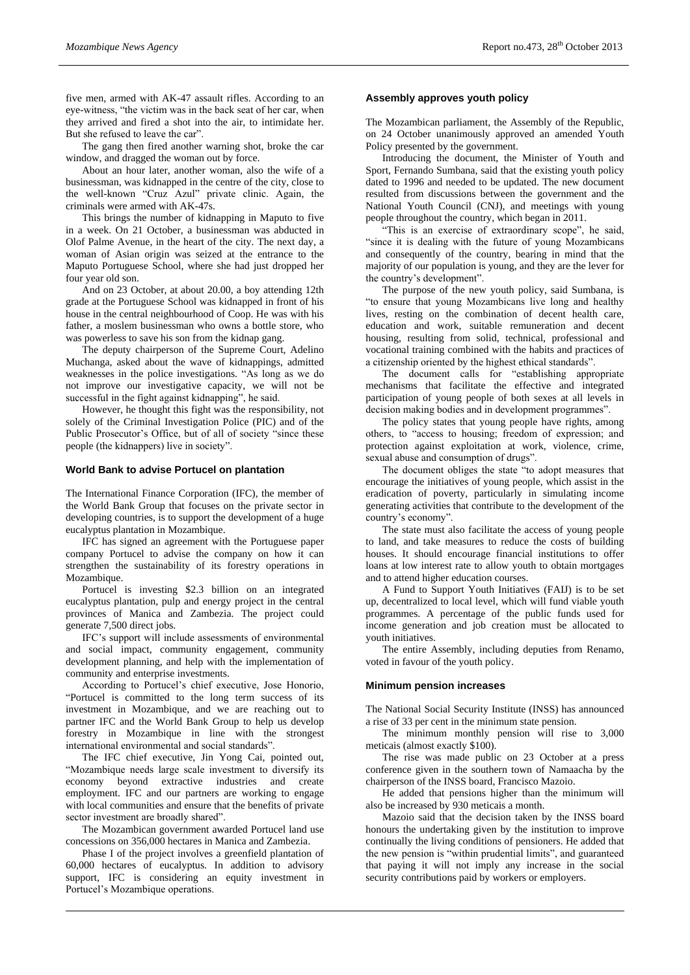five men, armed with AK-47 assault rifles. According to an eye-witness, "the victim was in the back seat of her car, when they arrived and fired a shot into the air, to intimidate her. But she refused to leave the car".

The gang then fired another warning shot, broke the car window, and dragged the woman out by force.

About an hour later, another woman, also the wife of a businessman, was kidnapped in the centre of the city, close to the well-known "Cruz Azul" private clinic. Again, the criminals were armed with  $AK-47s$ .

This brings the number of kidnapping in Maputo to five in a week. On 21 October, a businessman was abducted in Olof Palme Avenue, in the heart of the city. The next day, a woman of Asian origin was seized at the entrance to the Maputo Portuguese School, where she had just dropped her four year old son.

And on 23 October, at about 20.00, a boy attending 12th grade at the Portuguese School was kidnapped in front of his house in the central neighbourhood of Coop. He was with his father, a moslem businessman who owns a bottle store, who was powerless to save his son from the kidnap gang.

The deputy chairperson of the Supreme Court, Adelino Muchanga, asked about the wave of kidnappings, admitted weaknesses in the police investigations. "As long as we do not improve our investigative capacity, we will not be successful in the fight against kidnapping", he said.

However, he thought this fight was the responsibility, not solely of the Criminal Investigation Police (PIC) and of the Public Prosecutor's Office, but of all of society "since these people (the kidnappers) live in society".

#### **World Bank to advise Portucel on plantation**

The International Finance Corporation (IFC), the member of the World Bank Group that focuses on the private sector in developing countries, is to support the development of a huge eucalyptus plantation in Mozambique.

IFC has signed an agreement with the Portuguese paper company Portucel to advise the company on how it can strengthen the sustainability of its forestry operations in Mozambique.

Portucel is investing \$2.3 billion on an integrated eucalyptus plantation, pulp and energy project in the central provinces of Manica and Zambezia. The project could generate 7,500 direct jobs.

IFC's support will include assessments of environmental and social impact, community engagement, community development planning, and help with the implementation of community and enterprise investments.

According to Portucel's chief executive, Jose Honorio, "Portucel is committed to the long term success of its investment in Mozambique, and we are reaching out to partner IFC and the World Bank Group to help us develop forestry in Mozambique in line with the strongest international environmental and social standards".

The IFC chief executive, Jin Yong Cai, pointed out, "Mozambique needs large scale investment to diversify its economy beyond extractive industries and create employment. IFC and our partners are working to engage with local communities and ensure that the benefits of private sector investment are broadly shared".

The Mozambican government awarded Portucel land use concessions on 356,000 hectares in Manica and Zambezia.

Phase I of the project involves a greenfield plantation of 60,000 hectares of eucalyptus. In addition to advisory support, IFC is considering an equity investment in Portucel's Mozambique operations.

# **Assembly approves youth policy**

The Mozambican parliament, the Assembly of the Republic, on 24 October unanimously approved an amended Youth Policy presented by the government.

Introducing the document, the Minister of Youth and Sport, Fernando Sumbana, said that the existing youth policy dated to 1996 and needed to be updated. The new document resulted from discussions between the government and the National Youth Council (CNJ), and meetings with young people throughout the country, which began in 2011.

"This is an exercise of extraordinary scope", he said, "since it is dealing with the future of young Mozambicans and consequently of the country, bearing in mind that the majority of our population is young, and they are the lever for the country's development".

The purpose of the new youth policy, said Sumbana, is "to ensure that young Mozambicans live long and healthy lives, resting on the combination of decent health care, education and work, suitable remuneration and decent housing, resulting from solid, technical, professional and vocational training combined with the habits and practices of a citizenship oriented by the highest ethical standards".

The document calls for "establishing appropriate mechanisms that facilitate the effective and integrated participation of young people of both sexes at all levels in decision making bodies and in development programmes".

The policy states that young people have rights, among others, to "access to housing; freedom of expression; and protection against exploitation at work, violence, crime, sexual abuse and consumption of drugs".

The document obliges the state "to adopt measures that encourage the initiatives of young people, which assist in the eradication of poverty, particularly in simulating income generating activities that contribute to the development of the country's economy".

The state must also facilitate the access of young people to land, and take measures to reduce the costs of building houses. It should encourage financial institutions to offer loans at low interest rate to allow youth to obtain mortgages and to attend higher education courses.

A Fund to Support Youth Initiatives (FAIJ) is to be set up, decentralized to local level, which will fund viable youth programmes. A percentage of the public funds used for income generation and job creation must be allocated to youth initiatives.

The entire Assembly, including deputies from Renamo, voted in favour of the youth policy.

#### **Minimum pension increases**

The National Social Security Institute (INSS) has announced a rise of 33 per cent in the minimum state pension.

The minimum monthly pension will rise to 3,000 meticais (almost exactly \$100).

The rise was made public on 23 October at a press conference given in the southern town of Namaacha by the chairperson of the INSS board, Francisco Mazoio.

He added that pensions higher than the minimum will also be increased by 930 meticais a month.

Mazoio said that the decision taken by the INSS board honours the undertaking given by the institution to improve continually the living conditions of pensioners. He added that the new pension is "within prudential limits", and guaranteed that paying it will not imply any increase in the social security contributions paid by workers or employers.